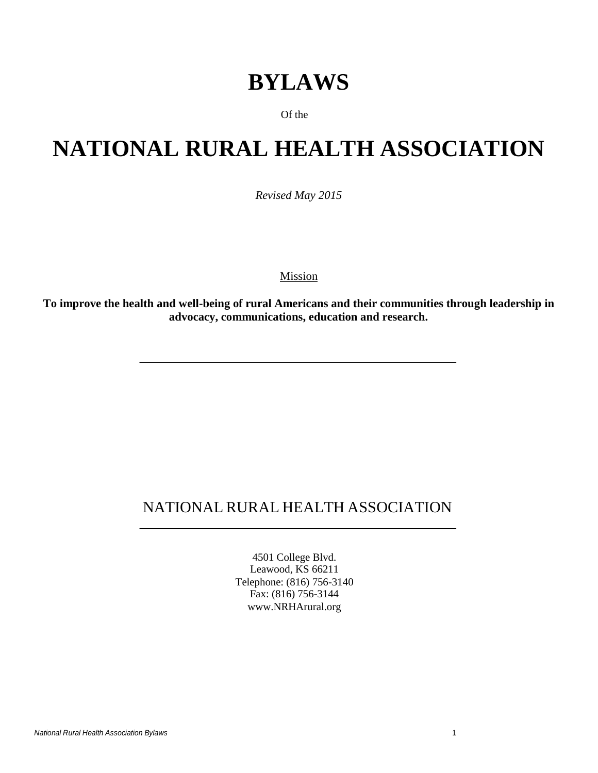## **BYLAWS**

Of the

# **NATIONAL RURAL HEALTH ASSOCIATION**

*Revised May 2015*

Mission

**To improve the health and well-being of rural Americans and their communities through leadership in advocacy, communications, education and research.**

## NATIONAL RURAL HEALTH ASSOCIATION

4501 College Blvd. Leawood, KS 66211 Telephone: (816) 756-3140 Fax: (816) 756-3144 [www.NRHArural.org](http://www.nrharural.org/)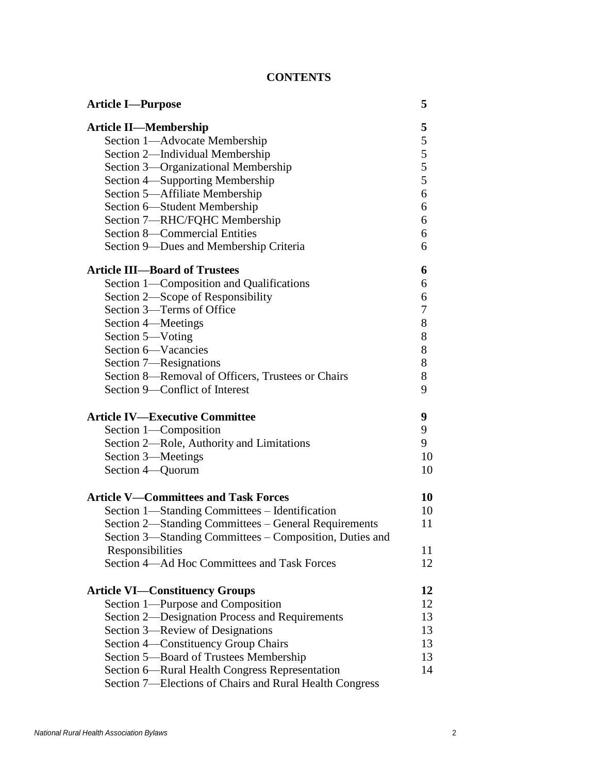## **CONTENTS**

| <b>Article I-Purpose</b>                                | 5  |
|---------------------------------------------------------|----|
| <b>Article II—Membership</b>                            | 5  |
| Section 1-Advocate Membership                           | 5  |
| Section 2-Individual Membership                         | 5  |
| Section 3—Organizational Membership                     | 5  |
| Section 4—Supporting Membership                         | 5  |
| Section 5-Affiliate Membership                          | 6  |
| Section 6—Student Membership                            | 6  |
| Section 7-RHC/FQHC Membership                           | 6  |
| Section 8-Commercial Entities                           | 6  |
| Section 9-Dues and Membership Criteria                  | 6  |
| <b>Article III-Board of Trustees</b>                    | 6  |
| Section 1-Composition and Qualifications                | 6  |
| Section 2—Scope of Responsibility                       | 6  |
| Section 3—Terms of Office                               | 7  |
| Section 4—Meetings                                      | 8  |
| Section 5-Voting                                        | 8  |
| Section 6-Vacancies                                     | 8  |
| Section 7—Resignations                                  | 8  |
| Section 8—Removal of Officers, Trustees or Chairs       | 8  |
| Section 9—Conflict of Interest                          | 9  |
| <b>Article IV-Executive Committee</b>                   | 9  |
| Section 1-Composition                                   | 9  |
| Section 2—Role, Authority and Limitations               | 9  |
| Section 3—Meetings                                      | 10 |
| Section 4-Quorum                                        | 10 |
| <b>Article V-Committees and Task Forces</b>             | 10 |
| Section 1—Standing Committees - Identification          | 10 |
| Section 2—Standing Committees – General Requirements    | 11 |
| Section 3-Standing Committees - Composition, Duties and |    |
| Responsibilities                                        | 11 |
| Section 4—Ad Hoc Committees and Task Forces             | 12 |
| <b>Article VI—Constituency Groups</b>                   | 12 |
| Section 1—Purpose and Composition                       | 12 |
| Section 2—Designation Process and Requirements          | 13 |
| Section 3—Review of Designations                        | 13 |
| Section 4—Constituency Group Chairs                     | 13 |
| Section 5-Board of Trustees Membership                  | 13 |
| Section 6—Rural Health Congress Representation          | 14 |
| Section 7—Elections of Chairs and Rural Health Congress |    |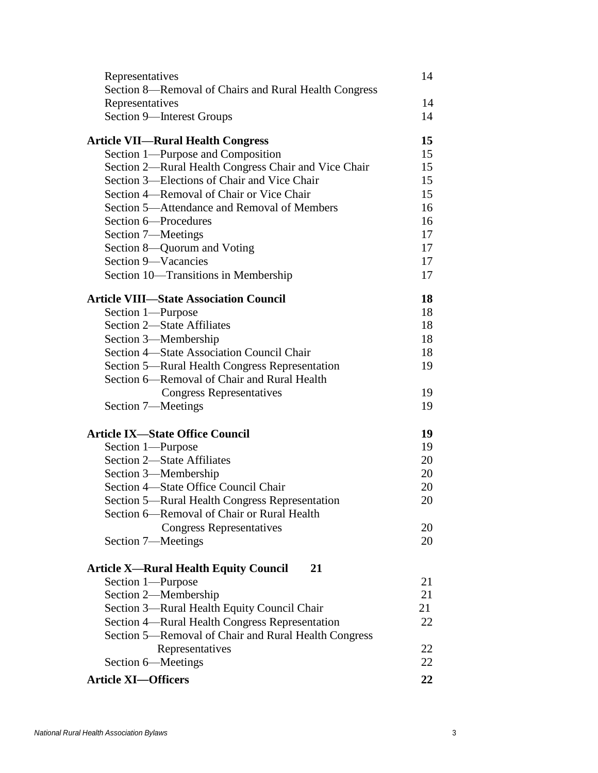| Representatives                                       | 14 |
|-------------------------------------------------------|----|
| Section 8-Removal of Chairs and Rural Health Congress |    |
| Representatives                                       | 14 |
| Section 9-Interest Groups                             | 14 |
| <b>Article VII-Rural Health Congress</b>              | 15 |
| Section 1—Purpose and Composition                     | 15 |
| Section 2—Rural Health Congress Chair and Vice Chair  | 15 |
| Section 3-Elections of Chair and Vice Chair           | 15 |
| Section 4-Removal of Chair or Vice Chair              | 15 |
| Section 5-Attendance and Removal of Members           | 16 |
| Section 6-Procedures                                  | 16 |
| Section 7—Meetings                                    | 17 |
| Section 8—Quorum and Voting                           | 17 |
| Section 9-Vacancies                                   | 17 |
| Section 10-Transitions in Membership                  | 17 |
| <b>Article VIII—State Association Council</b>         | 18 |
| Section 1-Purpose                                     | 18 |
| Section 2-State Affiliates                            | 18 |
| Section 3—Membership                                  | 18 |
| Section 4—State Association Council Chair             | 18 |
| Section 5—Rural Health Congress Representation        | 19 |
| Section 6—Removal of Chair and Rural Health           |    |
| <b>Congress Representatives</b>                       | 19 |
| Section 7—Meetings                                    | 19 |
| <b>Article IX-State Office Council</b>                | 19 |
| Section 1-Purpose                                     | 19 |
| <b>Section 2-State Affiliates</b>                     | 20 |
| Section 3-Membership                                  | 20 |
| Section 4—State Office Council Chair                  | 20 |
| Section 5—Rural Health Congress Representation        | 20 |
| Section 6—Removal of Chair or Rural Health            |    |
| <b>Congress Representatives</b>                       | 20 |
| Section 7-Meetings                                    | 20 |
| <b>Article X—Rural Health Equity Council</b><br>21    |    |
| Section 1-Purpose                                     | 21 |
| Section 2-Membership                                  | 21 |
| Section 3—Rural Health Equity Council Chair           | 21 |
| Section 4—Rural Health Congress Representation        | 22 |
| Section 5—Removal of Chair and Rural Health Congress  |    |
| Representatives                                       | 22 |
| Section 6—Meetings                                    | 22 |
| <b>Article XI-Officers</b>                            | 22 |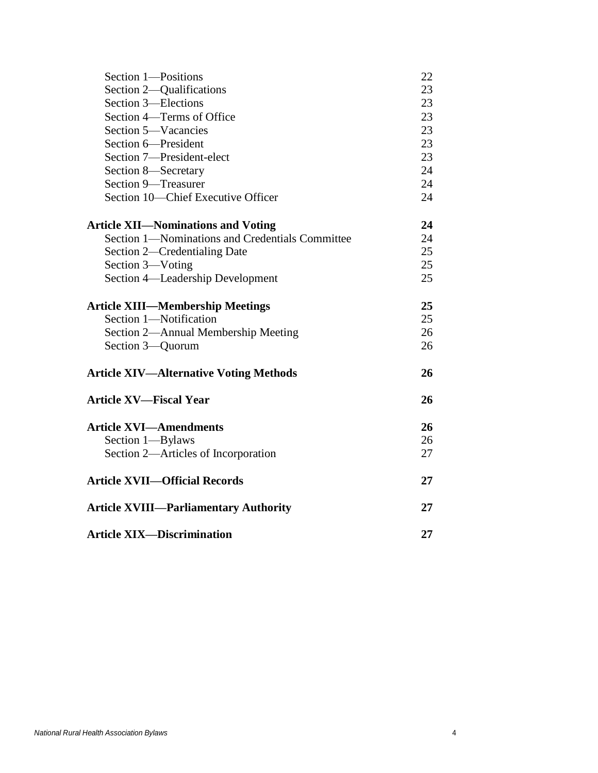| Section 1-Positions                             | 22 |
|-------------------------------------------------|----|
| Section 2—Qualifications                        | 23 |
| Section 3-Elections                             | 23 |
| Section 4—Terms of Office                       | 23 |
| Section 5-Vacancies                             | 23 |
| Section 6-President                             | 23 |
| Section 7-President-elect                       | 23 |
| Section 8-Secretary                             | 24 |
| Section 9-Treasurer                             | 24 |
| Section 10-Chief Executive Officer              | 24 |
| <b>Article XII—Nominations and Voting</b>       | 24 |
| Section 1-Nominations and Credentials Committee | 24 |
| Section 2—Credentialing Date                    | 25 |
| Section 3-Voting                                | 25 |
| Section 4-Leadership Development                | 25 |
| <b>Article XIII—Membership Meetings</b>         | 25 |
| Section 1-Notification                          | 25 |
| Section 2-Annual Membership Meeting             | 26 |
| Section 3-Quorum                                | 26 |
| <b>Article XIV—Alternative Voting Methods</b>   | 26 |
| <b>Article XV-Fiscal Year</b>                   | 26 |
| <b>Article XVI-Amendments</b>                   | 26 |
| Section 1-Bylaws                                | 26 |
| Section 2-Articles of Incorporation             | 27 |
| <b>Article XVII-Official Records</b>            | 27 |
| <b>Article XVIII-Parliamentary Authority</b>    | 27 |
| <b>Article XIX-Discrimination</b>               | 27 |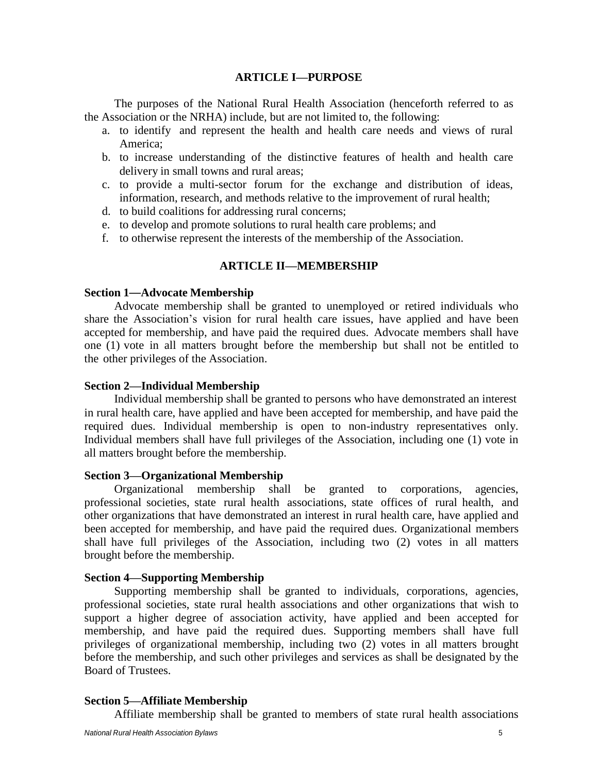## **ARTICLE I—PURPOSE**

<span id="page-4-0"></span>The purposes of the National Rural Health Association (henceforth referred to as the Association or the NRHA) include, but are not limited to, the following:

- a. to identify and represent the health and health care needs and views of rural America;
- b. to increase understanding of the distinctive features of health and health care delivery in small towns and rural areas;
- c. to provide a multi-sector forum for the exchange and distribution of ideas, information, research, and methods relative to the improvement of rural health;
- d. to build coalitions for addressing rural concerns;
- e. to develop and promote solutions to rural health care problems; and
- f. to otherwise represent the interests of the membership of the Association.

## **ARTICLE II—MEMBERSHIP**

### <span id="page-4-2"></span><span id="page-4-1"></span>**Section 1**—**Advocate Membership**

Advocate membership shall be granted to unemployed or retired individuals who share the Association's vision for rural health care issues, have applied and have been accepted for membership, and have paid the required dues. Advocate members shall have one (1) vote in all matters brought before the membership but shall not be entitled to the other privileges of the Association.

## <span id="page-4-3"></span>**Section 2—Individual Membership**

Individual membership shall be granted to persons who have demonstrated an interest in rural health care, have applied and have been accepted for membership, and have paid the required dues. Individual membership is open to non-industry representatives only. Individual members shall have full privileges of the Association, including one (1) vote in all matters brought before the membership.

### <span id="page-4-4"></span>**Section 3—Organizational Membership**

Organizational membership shall be granted to corporations, agencies, professional societies, state rural health associations, state offices of rural health, and other organizations that have demonstrated an interest in rural health care, have applied and been accepted for membership, and have paid the required dues. Organizational members shall have full privileges of the Association, including two (2) votes in all matters brought before the membership.

## <span id="page-4-5"></span>**Section 4—Supporting Membership**

Supporting membership shall be granted to individuals, corporations, agencies, professional societies, state rural health associations and other organizations that wish to support a higher degree of association activity, have applied and been accepted for membership, and have paid the required dues. Supporting members shall have full privileges of organizational membership, including two (2) votes in all matters brought before the membership, and such other privileges and services as shall be designated by the Board of Trustees.

## <span id="page-4-6"></span>**Section 5—Affiliate Membership**

Affiliate membership shall be granted to members of state rural health associations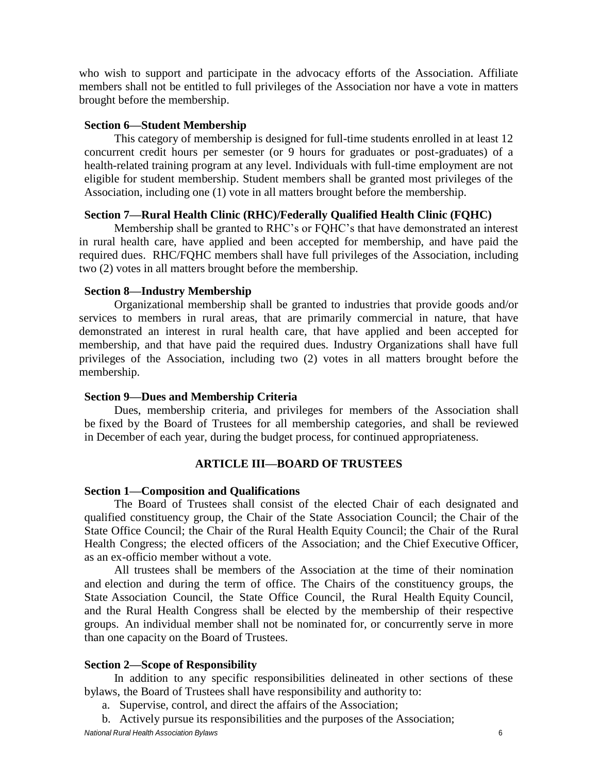who wish to support and participate in the advocacy efforts of the Association. Affiliate members shall not be entitled to full privileges of the Association nor have a vote in matters brought before the membership.

#### <span id="page-5-0"></span>**Section 6—Student Membership**

This category of membership is designed for full-time students enrolled in at least 12 concurrent credit hours per semester (or 9 hours for graduates or post-graduates) of a health-related training program at any level. Individuals with full-time employment are not eligible for student membership. Student members shall be granted most privileges of the Association, including one (1) vote in all matters brought before the membership.

## **Section 7—Rural Health Clinic (RHC)/Federally Qualified Health Clinic (FQHC)**

Membership shall be granted to RHC's or FQHC's that have demonstrated an interest in rural health care, have applied and been accepted for membership, and have paid the required dues. RHC/FQHC members shall have full privileges of the Association, including two (2) votes in all matters brought before the membership.

#### **Section 8—Industry Membership**

Organizational membership shall be granted to industries that provide goods and/or services to members in rural areas, that are primarily commercial in nature, that have demonstrated an interest in rural health care, that have applied and been accepted for membership, and that have paid the required dues. Industry Organizations shall have full privileges of the Association, including two (2) votes in all matters brought before the membership.

#### <span id="page-5-1"></span>**Section 9—Dues and Membership Criteria**

Dues, membership criteria, and privileges for members of the Association shall be fixed by the Board of Trustees for all membership categories*,* and shall be reviewed in December of each year, during the budget process, for continued appropriateness.

#### **ARTICLE III—BOARD OF TRUSTEES**

#### <span id="page-5-3"></span><span id="page-5-2"></span>**Section 1—Composition and Qualifications**

The Board of Trustees shall consist of the elected Chair of each designated and qualified constituency group, the Chair of the State Association Council; the Chair of the State Office Council; the Chair of the Rural Health Equity Council; the Chair of the Rural Health Congress; the elected officers of the Association; and the Chief Executive Officer, as an ex-officio member without a vote.

All trustees shall be members of the Association at the time of their nomination and election and during the term of office. The Chairs of the constituency groups, the State Association Council, the State Office Council, the Rural Health Equity Council, and the Rural Health Congress shall be elected by the membership of their respective groups. An individual member shall not be nominated for, or concurrently serve in more than one capacity on the Board of Trustees.

#### <span id="page-5-4"></span>**Section 2—Scope of Responsibility**

In addition to any specific responsibilities delineated in other sections of these bylaws, the Board of Trustees shall have responsibility and authority to:

- a. Supervise, control, and direct the affairs of the Association;
- b. Actively pursue its responsibilities and the purposes of the Association;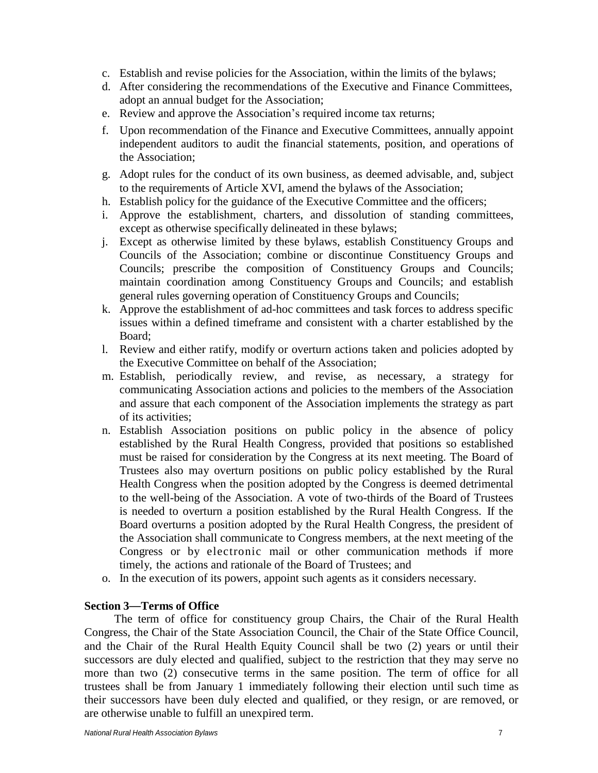- c. Establish and revise policies for the Association, within the limits of the bylaws;
- d. After considering the recommendations of the Executive and Finance Committees, adopt an annual budget for the Association;
- e. Review and approve the Association's required income tax returns;
- f. Upon recommendation of the Finance and Executive Committees, annually appoint independent auditors to audit the financial statements, position, and operations of the Association;
- g. Adopt rules for the conduct of its own business, as deemed advisable, and, subject to the requirements of Article XVI, amend the bylaws of the Association;
- h. Establish policy for the guidance of the Executive Committee and the officers;
- i. Approve the establishment, charters, and dissolution of standing committees, except as otherwise specifically delineated in these bylaws;
- j. Except as otherwise limited by these bylaws, establish Constituency Groups and Councils of the Association; combine or discontinue Constituency Groups and Councils; prescribe the composition of Constituency Groups and Councils; maintain coordination among Constituency Groups and Councils; and establish general rules governing operation of Constituency Groups and Councils;
- k. Approve the establishment of ad-hoc committees and task forces to address specific issues within a defined timeframe and consistent with a charter established by the Board;
- l. Review and either ratify, modify or overturn actions taken and policies adopted by the Executive Committee on behalf of the Association;
- m. Establish, periodically review, and revise, as necessary, a strategy for communicating Association actions and policies to the members of the Association and assure that each component of the Association implements the strategy as part of its activities;
- n. Establish Association positions on public policy in the absence of policy established by the Rural Health Congress, provided that positions so established must be raised for consideration by the Congress at its next meeting. The Board of Trustees also may overturn positions on public policy established by the Rural Health Congress when the position adopted by the Congress is deemed detrimental to the well-being of the Association. A vote of two-thirds of the Board of Trustees is needed to overturn a position established by the Rural Health Congress. If the Board overturns a position adopted by the Rural Health Congress, the president of the Association shall communicate to Congress members, at the next meeting of the Congress or by electronic mail or other communication methods if more timely, the actions and rationale of the Board of Trustees; and
- o. In the execution of its powers, appoint such agents as it considers necessary.

### <span id="page-6-0"></span>**Section 3**—**Terms of Office**

<span id="page-6-1"></span>The term of office for constituency group Chairs, the Chair of the Rural Health Congress, the Chair of the State Association Council, the Chair of the State Office Council, and the Chair of the Rural Health Equity Council shall be two (2) years or until their successors are duly elected and qualified, subject to the restriction that they may serve no more than two (2) consecutive terms in the same position. The term of office for all trustees shall be from January 1 immediately following their election until such time as their successors have been duly elected and qualified, or they resign, or are removed, or are otherwise unable to fulfill an unexpired term.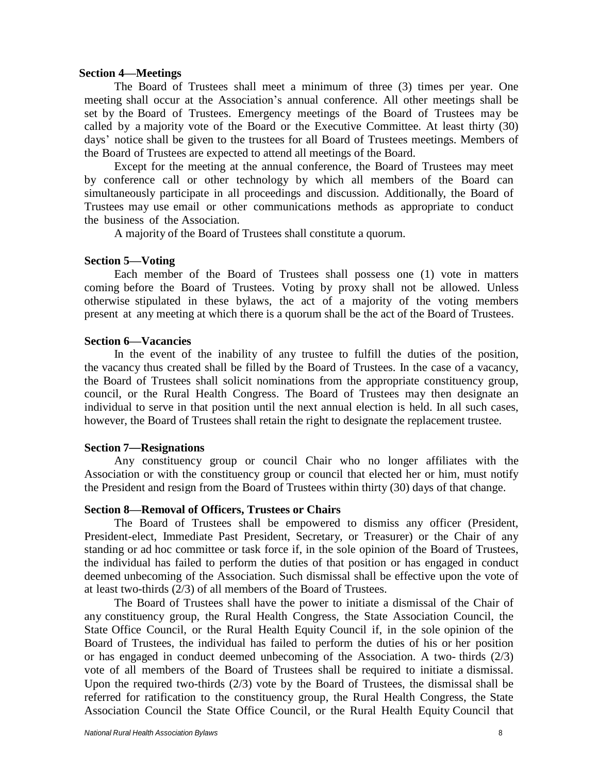#### **Section 4—Meetings**

The Board of Trustees shall meet a minimum of three (3) times per year. One meeting shall occur at the Association's annual conference. All other meetings shall be set by the Board of Trustees. Emergency meetings of the Board of Trustees may be called by a majority vote of the Board or the Executive Committee. At least thirty (30) days' notice shall be given to the trustees for all Board of Trustees meetings. Members of the Board of Trustees are expected to attend all meetings of the Board.

Except for the meeting at the annual conference, the Board of Trustees may meet by conference call or other technology by which all members of the Board can simultaneously participate in all proceedings and discussion. Additionally, the Board of Trustees may use email or other communications methods as appropriate to conduct the business of the Association.

A majority of the Board of Trustees shall constitute a quorum.

#### <span id="page-7-0"></span>**Section 5—Voting**

Each member of the Board of Trustees shall possess one (1) vote in matters coming before the Board of Trustees. Voting by proxy shall not be allowed. Unless otherwise stipulated in these bylaws, the act of a majority of the voting members present at any meeting at which there is a quorum shall be the act of the Board of Trustees.

#### <span id="page-7-1"></span>**Section 6—Vacancies**

In the event of the inability of any trustee to fulfill the duties of the position, the vacancy thus created shall be filled by the Board of Trustees. In the case of a vacancy, the Board of Trustees shall solicit nominations from the appropriate constituency group, council, or the Rural Health Congress. The Board of Trustees may then designate an individual to serve in that position until the next annual election is held. In all such cases, however, the Board of Trustees shall retain the right to designate the replacement trustee.

#### <span id="page-7-2"></span>**Section 7**—**Resignations**

Any constituency group or council Chair who no longer affiliates with the Association or with the constituency group or council that elected her or him, must notify the President and resign from the Board of Trustees within thirty (30) days of that change.

## <span id="page-7-3"></span>**Section 8—Removal of Officers, Trustees or Chairs**

The Board of Trustees shall be empowered to dismiss any officer (President, President-elect, Immediate Past President, Secretary, or Treasurer) or the Chair of any standing or ad hoc committee or task force if, in the sole opinion of the Board of Trustees, the individual has failed to perform the duties of that position or has engaged in conduct deemed unbecoming of the Association. Such dismissal shall be effective upon the vote of at least two-thirds (2/3) of all members of the Board of Trustees.

The Board of Trustees shall have the power to initiate a dismissal of the Chair of any constituency group, the Rural Health Congress, the State Association Council, the State Office Council, or the Rural Health Equity Council if, in the sole opinion of the Board of Trustees, the individual has failed to perform the duties of his or her position or has engaged in conduct deemed unbecoming of the Association. A two- thirds (2/3) vote of all members of the Board of Trustees shall be required to initiate a dismissal. Upon the required two-thirds (2/3) vote by the Board of Trustees, the dismissal shall be referred for ratification to the constituency group, the Rural Health Congress, the State Association Council the State Office Council, or the Rural Health Equity Council that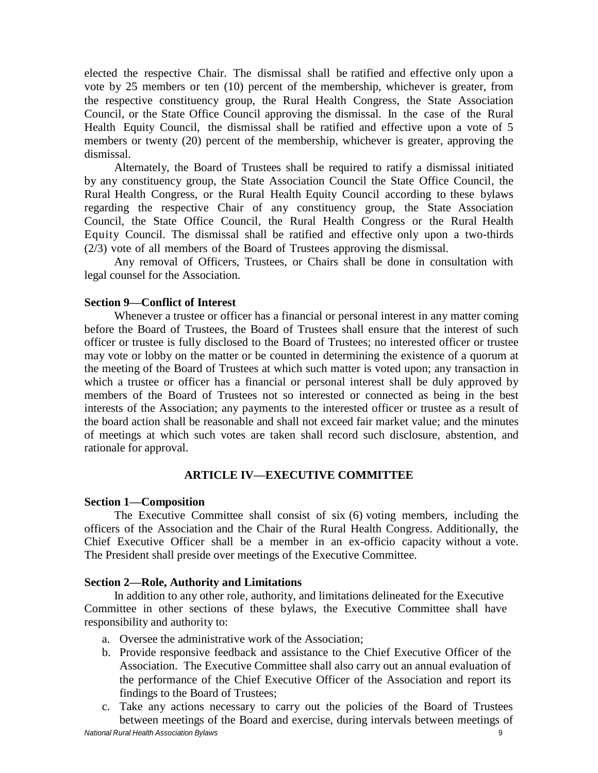elected the respective Chair. The dismissal shall be ratified and effective only upon a vote by 25 members or ten (10) percent of the membership, whichever is greater, from the respective constituency group, the Rural Health Congress, the State Association Council, or the State Office Council approving the dismissal. In the case of the Rural Health Equity Council, the dismissal shall be ratified and effective upon a vote of 5 members or twenty (20) percent of the membership, whichever is greater, approving the dismissal.

Alternately, the Board of Trustees shall be required to ratify a dismissal initiated by any constituency group, the State Association Council the State Office Council, the Rural Health Congress, or the Rural Health Equity Council according to these bylaws regarding the respective Chair of any constituency group, the State Association Council, the State Office Council, the Rural Health Congress or the Rural Health Equity Council. The dismissal shall be ratified and effective only upon a two-thirds (2/3) vote of all members of the Board of Trustees approving the dismissal.

Any removal of Officers, Trustees, or Chairs shall be done in consultation with legal counsel for the Association.

## <span id="page-8-0"></span>**Section 9—Conflict of Interest**

Whenever a trustee or officer has a financial or personal interest in any matter coming before the Board of Trustees, the Board of Trustees shall ensure that the interest of such officer or trustee is fully disclosed to the Board of Trustees; no interested officer or trustee may vote or lobby on the matter or be counted in determining the existence of a quorum at the meeting of the Board of Trustees at which such matter is voted upon; any transaction in which a trustee or officer has a financial or personal interest shall be duly approved by members of the Board of Trustees not so interested or connected as being in the best interests of the Association; any payments to the interested officer or trustee as a result of the board action shall be reasonable and shall not exceed fair market value; and the minutes of meetings at which such votes are taken shall record such disclosure, abstention, and rationale for approval.

## **ARTICLE IV—EXECUTIVE COMMITTEE**

### <span id="page-8-2"></span><span id="page-8-1"></span>**Section 1—Composition**

The Executive Committee shall consist of six (6) voting members, including the officers of the Association and the Chair of the Rural Health Congress. Additionally, the Chief Executive Officer shall be a member in an ex-officio capacity without a vote. The President shall preside over meetings of the Executive Committee.

## <span id="page-8-3"></span>**Section 2—Role, Authority and Limitations**

In addition to any other role, authority, and limitations delineated for the Executive Committee in other sections of these bylaws, the Executive Committee shall have responsibility and authority to:

- a. Oversee the administrative work of the Association;
- b. Provide responsive feedback and assistance to the Chief Executive Officer of the Association. The Executive Committee shall also carry out an annual evaluation of the performance of the Chief Executive Officer of the Association and report its findings to the Board of Trustees;
- *National Rural Health Association Bylaws* 9 c. Take any actions necessary to carry out the policies of the Board of Trustees between meetings of the Board and exercise, during intervals between meetings of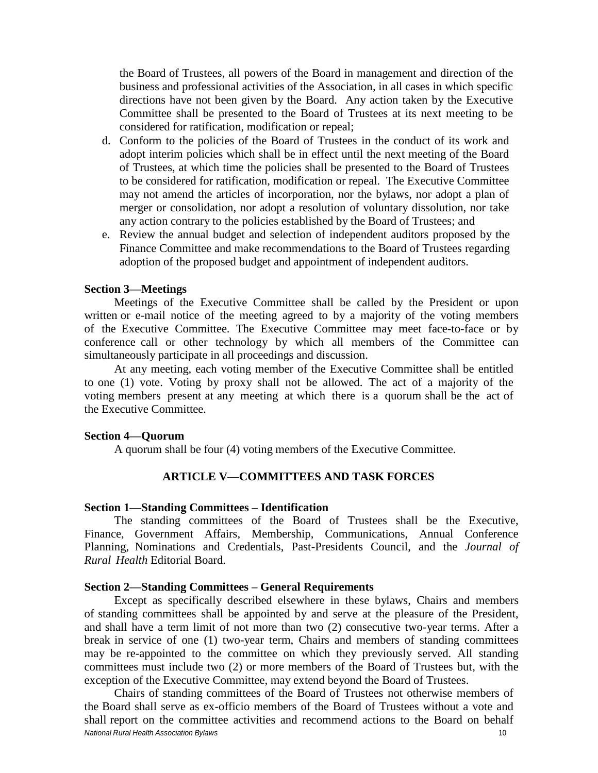the Board of Trustees, all powers of the Board in management and direction of the business and professional activities of the Association, in all cases in which specific directions have not been given by the Board. Any action taken by the Executive Committee shall be presented to the Board of Trustees at its next meeting to be considered for ratification, modification or repeal;

- d. Conform to the policies of the Board of Trustees in the conduct of its work and adopt interim policies which shall be in effect until the next meeting of the Board of Trustees, at which time the policies shall be presented to the Board of Trustees to be considered for ratification, modification or repeal. The Executive Committee may not amend the articles of incorporation, nor the bylaws, nor adopt a plan of merger or consolidation, nor adopt a resolution of voluntary dissolution, nor take any action contrary to the policies established by the Board of Trustees; and
- e. Review the annual budget and selection of independent auditors proposed by the Finance Committee and make recommendations to the Board of Trustees regarding adoption of the proposed budget and appointment of independent auditors.

#### <span id="page-9-0"></span>**Section 3—Meetings**

Meetings of the Executive Committee shall be called by the President or upon written or e-mail notice of the meeting agreed to by a majority of the voting members of the Executive Committee. The Executive Committee may meet face-to-face or by conference call or other technology by which all members of the Committee can simultaneously participate in all proceedings and discussion.

At any meeting, each voting member of the Executive Committee shall be entitled to one (1) vote. Voting by proxy shall not be allowed. The act of a majority of the voting members present at any meeting at which there is a quorum shall be the act of the Executive Committee.

#### <span id="page-9-1"></span>**Section 4—Quorum**

A quorum shall be four (4) voting members of the Executive Committee.

### **ARTICLE V—COMMITTEES AND TASK FORCES**

#### <span id="page-9-3"></span><span id="page-9-2"></span>**Section 1—Standing Committees – Identification**

The standing committees of the Board of Trustees shall be the Executive, Finance, Government Affairs, Membership, Communications, Annual Conference Planning*,* Nominations and Credentials, Past-Presidents Council, and the *Journal of Rural Health* Editorial Board.

#### <span id="page-9-4"></span>**Section 2—Standing Committees – General Requirements**

Except as specifically described elsewhere in these bylaws, Chairs and members of standing committees shall be appointed by and serve at the pleasure of the President, and shall have a term limit of not more than two (2) consecutive two-year terms. After a break in service of one (1) two-year term, Chairs and members of standing committees may be re-appointed to the committee on which they previously served. All standing committees must include two (2) or more members of the Board of Trustees but, with the exception of the Executive Committee, may extend beyond the Board of Trustees.

*National Rural Health Association Bylaws* 10 Chairs of standing committees of the Board of Trustees not otherwise members of the Board shall serve as ex-officio members of the Board of Trustees without a vote and shall report on the committee activities and recommend actions to the Board on behalf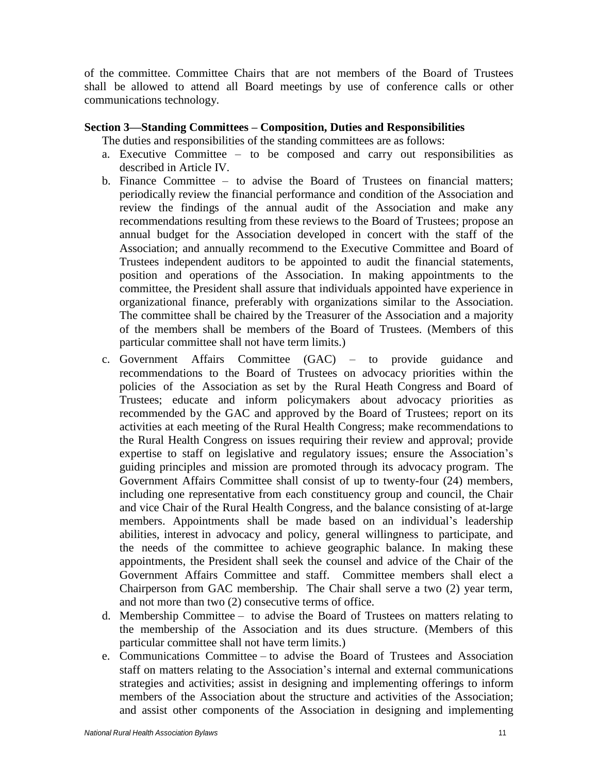of the committee. Committee Chairs that are not members of the Board of Trustees shall be allowed to attend all Board meetings by use of conference calls or other communications technology.

## <span id="page-10-0"></span>**Section 3—Standing Committees – Composition, Duties and Responsibilities**

The duties and responsibilities of the standing committees are as follows:

- a. Executive Committee to be composed and carry out responsibilities as described in Article IV.
- b. Finance Committee to advise the Board of Trustees on financial matters; periodically review the financial performance and condition of the Association and review the findings of the annual audit of the Association and make any recommendations resulting from these reviews to the Board of Trustees; propose an annual budget for the Association developed in concert with the staff of the Association; and annually recommend to the Executive Committee and Board of Trustees independent auditors to be appointed to audit the financial statements, position and operations of the Association. In making appointments to the committee, the President shall assure that individuals appointed have experience in organizational finance, preferably with organizations similar to the Association. The committee shall be chaired by the Treasurer of the Association and a majority of the members shall be members of the Board of Trustees. (Members of this particular committee shall not have term limits.)
- c. Government Affairs Committee (GAC) to provide guidance and recommendations to the Board of Trustees on advocacy priorities within the policies of the Association as set by the Rural Heath Congress and Board of Trustees; educate and inform policymakers about advocacy priorities as recommended by the GAC and approved by the Board of Trustees; report on its activities at each meeting of the Rural Health Congress; make recommendations to the Rural Health Congress on issues requiring their review and approval; provide expertise to staff on legislative and regulatory issues; ensure the Association's guiding principles and mission are promoted through its advocacy program. The Government Affairs Committee shall consist of up to twenty-four (24) members, including one representative from each constituency group and council, the Chair and vice Chair of the Rural Health Congress, and the balance consisting of at-large members. Appointments shall be made based on an individual's leadership abilities, interest in advocacy and policy, general willingness to participate, and the needs of the committee to achieve geographic balance. In making these appointments, the President shall seek the counsel and advice of the Chair of the Government Affairs Committee and staff. Committee members shall elect a Chairperson from GAC membership. The Chair shall serve a two (2) year term, and not more than two (2) consecutive terms of office.
- d. Membership Committee to advise the Board of Trustees on matters relating to the membership of the Association and its dues structure. (Members of this particular committee shall not have term limits.)
- e. Communications Committee to advise the Board of Trustees and Association staff on matters relating to the Association's internal and external communications strategies and activities; assist in designing and implementing offerings to inform members of the Association about the structure and activities of the Association; and assist other components of the Association in designing and implementing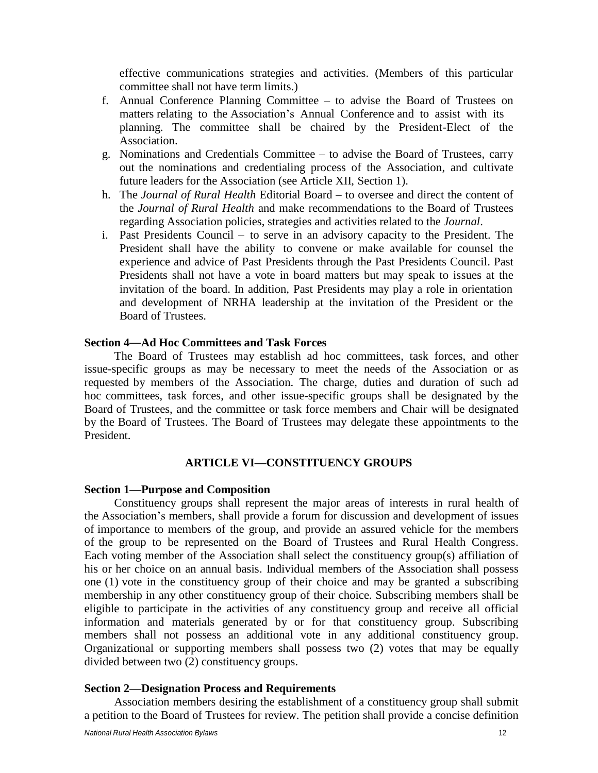effective communications strategies and activities. (Members of this particular committee shall not have term limits.)

- f. Annual Conference Planning Committee to advise the Board of Trustees on matters relating to the Association's Annual Conference and to assist with its planning. The committee shall be chaired by the President-Elect of the Association.
- g. Nominations and Credentials Committee to advise the Board of Trustees, carry out the nominations and credentialing process of the Association, and cultivate future leaders for the Association (see Article XII, Section 1).
- h. The *Journal of Rural Health* Editorial Board to oversee and direct the content of the *Journal of Rural Health* and make recommendations to the Board of Trustees regarding Association policies, strategies and activities related to the *Journal*.
- i. Past Presidents Council to serve in an advisory capacity to the President. The President shall have the ability to convene or make available for counsel the experience and advice of Past Presidents through the Past Presidents Council. Past Presidents shall not have a vote in board matters but may speak to issues at the invitation of the board. In addition, Past Presidents may play a role in orientation and development of NRHA leadership at the invitation of the President or the Board of Trustees.

### <span id="page-11-0"></span>**Section 4**—**Ad Hoc Committees and Task Forces**

The Board of Trustees may establish ad hoc committees, task forces, and other issue-specific groups as may be necessary to meet the needs of the Association or as requested by members of the Association. The charge, duties and duration of such ad hoc committees, task forces, and other issue-specific groups shall be designated by the Board of Trustees, and the committee or task force members and Chair will be designated by the Board of Trustees. The Board of Trustees may delegate these appointments to the President.

#### **ARTICLE VI—CONSTITUENCY GROUPS**

#### <span id="page-11-2"></span><span id="page-11-1"></span>**Section 1—Purpose and Composition**

Constituency groups shall represent the major areas of interests in rural health of the Association's members, shall provide a forum for discussion and development of issues of importance to members of the group, and provide an assured vehicle for the members of the group to be represented on the Board of Trustees and Rural Health Congress. Each voting member of the Association shall select the constituency group(s) affiliation of his or her choice on an annual basis. Individual members of the Association shall possess one (1) vote in the constituency group of their choice and may be granted a subscribing membership in any other constituency group of their choice. Subscribing members shall be eligible to participate in the activities of any constituency group and receive all official information and materials generated by or for that constituency group. Subscribing members shall not possess an additional vote in any additional constituency group. Organizational or supporting members shall possess two (2) votes that may be equally divided between two (2) constituency groups.

#### <span id="page-11-3"></span>**Section 2—Designation Process and Requirements**

Association members desiring the establishment of a constituency group shall submit a petition to the Board of Trustees for review. The petition shall provide a concise definition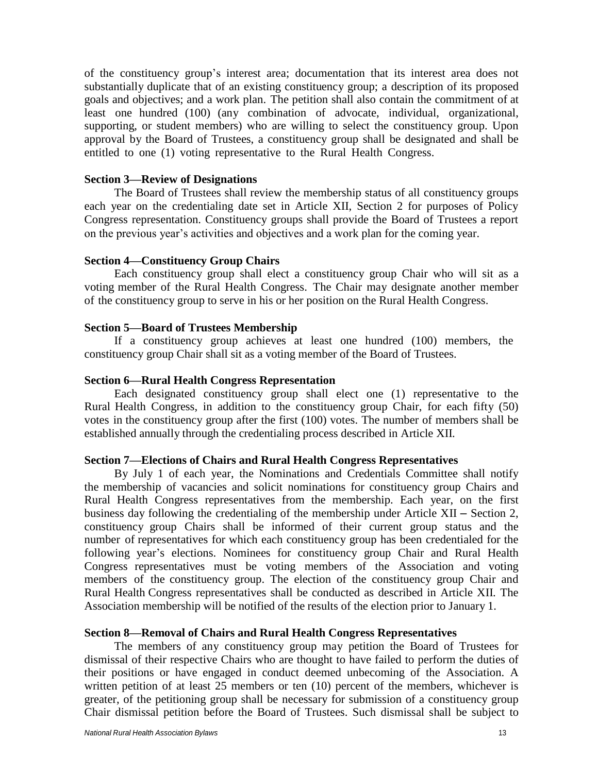of the constituency group's interest area; documentation that its interest area does not substantially duplicate that of an existing constituency group; a description of its proposed goals and objectives; and a work plan. The petition shall also contain the commitment of at least one hundred (100) (any combination of advocate, individual, organizational, supporting, or student members) who are willing to select the constituency group. Upon approval by the Board of Trustees, a constituency group shall be designated and shall be entitled to one (1) voting representative to the Rural Health Congress.

#### <span id="page-12-0"></span>**Section 3—Review of Designations**

The Board of Trustees shall review the membership status of all constituency groups each year on the credentialing date set in Article XII, Section 2 for purposes of Policy Congress representation. Constituency groups shall provide the Board of Trustees a report on the previous year's activities and objectives and a work plan for the coming year.

#### <span id="page-12-1"></span>**Section 4—Constituency Group Chairs**

Each constituency group shall elect a constituency group Chair who will sit as a voting member of the Rural Health Congress. The Chair may designate another member of the constituency group to serve in his or her position on the Rural Health Congress.

#### <span id="page-12-2"></span>**Section 5—Board of Trustees Membership**

 If a constituency group achieves at least one hundred (100) members, the constituency group Chair shall sit as a voting member of the Board of Trustees.

## <span id="page-12-3"></span>**Section 6—Rural Health Congress Representation**

Each designated constituency group shall elect one (1) representative to the Rural Health Congress, in addition to the constituency group Chair, for each fifty (50) votes in the constituency group after the first (100) votes. The number of members shall be established annually through the credentialing process described in Article XII.

#### **Section 7—Elections of Chairs and Rural Health Congress Representatives**

By July 1 of each year, the Nominations and Credentials Committee shall notify the membership of vacancies and solicit nominations for constituency group Chairs and Rural Health Congress representatives from the membership. Each year, on the first business day following the credentialing of the membership under Article XII – Section 2, constituency group Chairs shall be informed of their current group status and the number of representatives for which each constituency group has been credentialed for the following year's elections. Nominees for constituency group Chair and Rural Health Congress representatives must be voting members of the Association and voting members of the constituency group. The election of the constituency group Chair and Rural Health Congress representatives shall be conducted as described in Article XII. The Association membership will be notified of the results of the election prior to January 1.

#### **Section 8—Removal of Chairs and Rural Health Congress Representatives**

The members of any constituency group may petition the Board of Trustees for dismissal of their respective Chairs who are thought to have failed to perform the duties of their positions or have engaged in conduct deemed unbecoming of the Association. A written petition of at least 25 members or ten (10) percent of the members, whichever is greater, of the petitioning group shall be necessary for submission of a constituency group Chair dismissal petition before the Board of Trustees. Such dismissal shall be subject to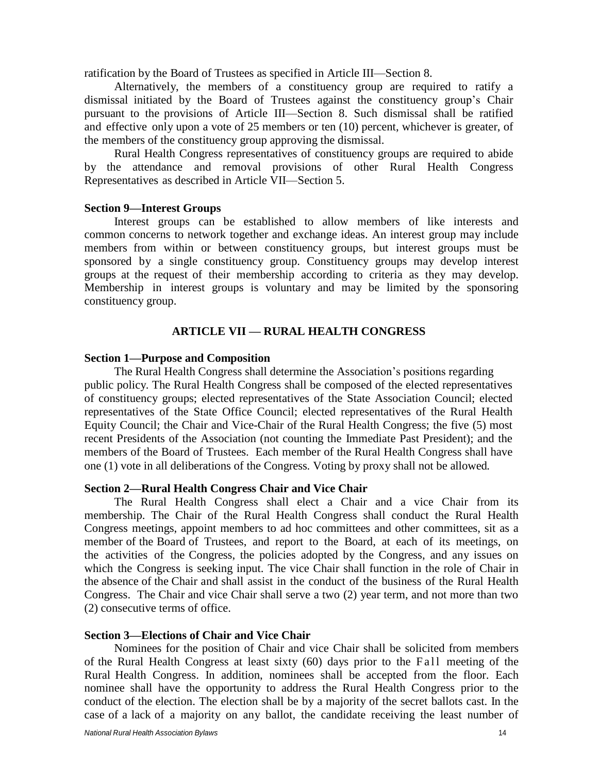ratification by the Board of Trustees as specified in Article III—Section 8.

Alternatively, the members of a constituency group are required to ratify a dismissal initiated by the Board of Trustees against the constituency group's Chair pursuant to the provisions of Article III—Section 8. Such dismissal shall be ratified and effective only upon a vote of 25 members or ten (10) percent, whichever is greater, of the members of the constituency group approving the dismissal.

Rural Health Congress representatives of constituency groups are required to abide by the attendance and removal provisions of other Rural Health Congress Representatives as described in Article VII—Section 5.

#### <span id="page-13-0"></span>**Section 9—Interest Groups**

Interest groups can be established to allow members of like interests and common concerns to network together and exchange ideas. An interest group may include members from within or between constituency groups, but interest groups must be sponsored by a single constituency group. Constituency groups may develop interest groups at the request of their membership according to criteria as they may develop. Membership in interest groups is voluntary and may be limited by the sponsoring constituency group.

### **ARTICLE VII — RURAL HEALTH CONGRESS**

#### <span id="page-13-2"></span><span id="page-13-1"></span>**Section 1—Purpose and Composition**

The Rural Health Congress shall determine the Association's positions regarding public policy. The Rural Health Congress shall be composed of the elected representatives of constituency groups; elected representatives of the State Association Council; elected representatives of the State Office Council; elected representatives of the Rural Health Equity Council; the Chair and Vice-Chair of the Rural Health Congress; the five (5) most recent Presidents of the Association (not counting the Immediate Past President); and the members of the Board of Trustees. Each member of the Rural Health Congress shall have one (1) vote in all deliberations of the Congress*.* Voting by proxy shall not be allowed*.*

## <span id="page-13-3"></span>**Section 2—Rural Health Congress Chair and Vice Chair**

The Rural Health Congress shall elect a Chair and a vice Chair from its membership. The Chair of the Rural Health Congress shall conduct the Rural Health Congress meetings, appoint members to ad hoc committees and other committees, sit as a member of the Board of Trustees, and report to the Board, at each of its meetings, on the activities of the Congress, the policies adopted by the Congress, and any issues on which the Congress is seeking input. The vice Chair shall function in the role of Chair in the absence of the Chair and shall assist in the conduct of the business of the Rural Health Congress. The Chair and vice Chair shall serve a two (2) year term, and not more than two (2) consecutive terms of office.

#### <span id="page-13-4"></span>**Section 3—Elections of Chair and Vice Chair**

Nominees for the position of Chair and vice Chair shall be solicited from members of the Rural Health Congress at least sixty (60) days prior to the Fall meeting of the Rural Health Congress. In addition, nominees shall be accepted from the floor. Each nominee shall have the opportunity to address the Rural Health Congress prior to the conduct of the election. The election shall be by a majority of the secret ballots cast. In the case of a lack of a majority on any ballot, the candidate receiving the least number of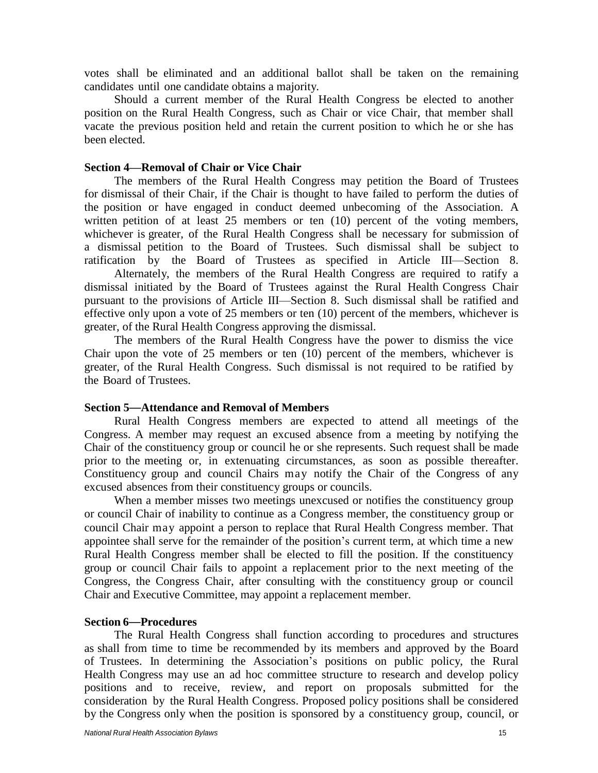votes shall be eliminated and an additional ballot shall be taken on the remaining candidates until one candidate obtains a majority.

Should a current member of the Rural Health Congress be elected to another position on the Rural Health Congress, such as Chair or vice Chair, that member shall vacate the previous position held and retain the current position to which he or she has been elected.

#### <span id="page-14-0"></span>**Section 4—Removal of Chair or Vice Chair**

The members of the Rural Health Congress may petition the Board of Trustees for dismissal of their Chair, if the Chair is thought to have failed to perform the duties of the position or have engaged in conduct deemed unbecoming of the Association. A written petition of at least 25 members or ten (10) percent of the voting members, whichever is greater, of the Rural Health Congress shall be necessary for submission of a dismissal petition to the Board of Trustees. Such dismissal shall be subject to ratification by the Board of Trustees as specified in Article III—Section 8.

Alternately, the members of the Rural Health Congress are required to ratify a dismissal initiated by the Board of Trustees against the Rural Health Congress Chair pursuant to the provisions of Article III—Section 8. Such dismissal shall be ratified and effective only upon a vote of 25 members or ten (10) percent of the members, whichever is greater, of the Rural Health Congress approving the dismissal.

The members of the Rural Health Congress have the power to dismiss the vice Chair upon the vote of 25 members or ten (10) percent of the members, whichever is greater, of the Rural Health Congress. Such dismissal is not required to be ratified by the Board of Trustees.

#### <span id="page-14-1"></span>**Section 5**—**Attendance and Removal of Members**

Rural Health Congress members are expected to attend all meetings of the Congress. A member may request an excused absence from a meeting by notifying the Chair of the constituency group or council he or she represents. Such request shall be made prior to the meeting or, in extenuating circumstances, as soon as possible thereafter. Constituency group and council Chairs may notify the Chair of the Congress of any excused absences from their constituency groups or councils.

When a member misses two meetings unexcused or notifies the constituency group or council Chair of inability to continue as a Congress member, the constituency group or council Chair may appoint a person to replace that Rural Health Congress member. That appointee shall serve for the remainder of the position's current term, at which time a new Rural Health Congress member shall be elected to fill the position. If the constituency group or council Chair fails to appoint a replacement prior to the next meeting of the Congress, the Congress Chair, after consulting with the constituency group or council Chair and Executive Committee, may appoint a replacement member.

#### <span id="page-14-2"></span>**Section 6**—**Procedures**

The Rural Health Congress shall function according to procedures and structures as shall from time to time be recommended by its members and approved by the Board of Trustees. In determining the Association's positions on public policy, the Rural Health Congress may use an ad hoc committee structure to research and develop policy positions and to receive, review, and report on proposals submitted for the consideration by the Rural Health Congress. Proposed policy positions shall be considered by the Congress only when the position is sponsored by a constituency group, council, or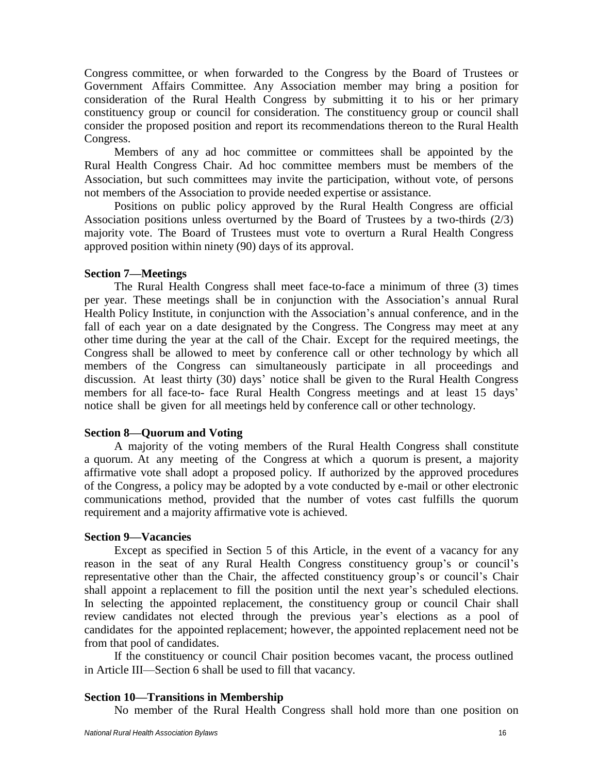Congress committee, or when forwarded to the Congress by the Board of Trustees or Government Affairs Committee. Any Association member may bring a position for consideration of the Rural Health Congress by submitting it to his or her primary constituency group or council for consideration. The constituency group or council shall consider the proposed position and report its recommendations thereon to the Rural Health Congress.

Members of any ad hoc committee or committees shall be appointed by the Rural Health Congress Chair. Ad hoc committee members must be members of the Association, but such committees may invite the participation, without vote, of persons not members of the Association to provide needed expertise or assistance.

Positions on public policy approved by the Rural Health Congress are official Association positions unless overturned by the Board of Trustees by a two-thirds (2/3) majority vote. The Board of Trustees must vote to overturn a Rural Health Congress approved position within ninety (90) days of its approval.

### <span id="page-15-0"></span>**Section 7—Meetings**

The Rural Health Congress shall meet face-to-face a minimum of three (3) times per year. These meetings shall be in conjunction with the Association's annual Rural Health Policy Institute, in conjunction with the Association's annual conference, and in the fall of each year on a date designated by the Congress. The Congress may meet at any other time during the year at the call of the Chair. Except for the required meetings, the Congress shall be allowed to meet by conference call or other technology by which all members of the Congress can simultaneously participate in all proceedings and discussion. At least thirty (30) days' notice shall be given to the Rural Health Congress members for all face-to- face Rural Health Congress meetings and at least 15 days' notice shall be given for all meetings held by conference call or other technology.

### <span id="page-15-1"></span>**Section 8—Quorum and Voting**

A majority of the voting members of the Rural Health Congress shall constitute a quorum. At any meeting of the Congress at which a quorum is present, a majority affirmative vote shall adopt a proposed policy. If authorized by the approved procedures of the Congress, a policy may be adopted by a vote conducted by e-mail or other electronic communications method, provided that the number of votes cast fulfills the quorum requirement and a majority affirmative vote is achieved.

### <span id="page-15-2"></span>**Section 9—Vacancies**

Except as specified in Section 5 of this Article, in the event of a vacancy for any reason in the seat of any Rural Health Congress constituency group's or council's representative other than the Chair, the affected constituency group's or council's Chair shall appoint a replacement to fill the position until the next year's scheduled elections. In selecting the appointed replacement, the constituency group or council Chair shall review candidates not elected through the previous year's elections as a pool of candidates for the appointed replacement; however, the appointed replacement need not be from that pool of candidates.

If the constituency or council Chair position becomes vacant, the process outlined in Article III—Section 6 shall be used to fill that vacancy.

## <span id="page-15-3"></span>**Section 10—Transitions in Membership**

No member of the Rural Health Congress shall hold more than one position on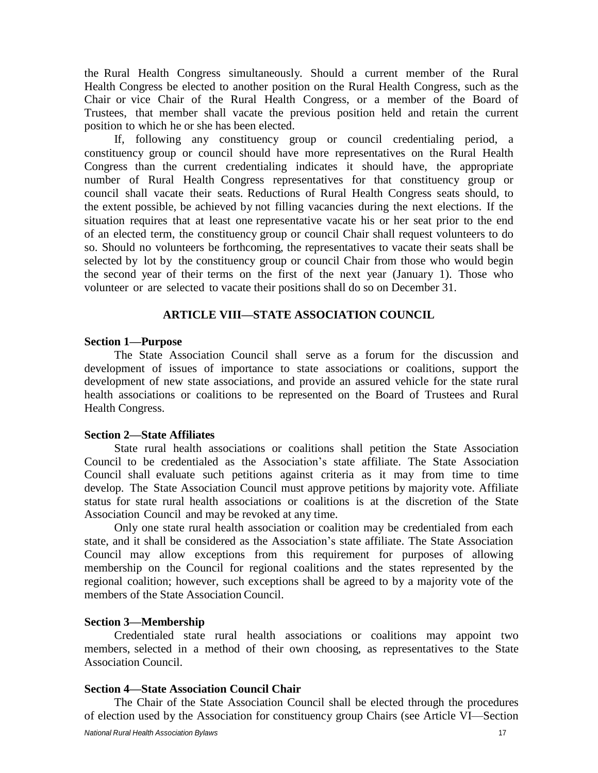the Rural Health Congress simultaneously. Should a current member of the Rural Health Congress be elected to another position on the Rural Health Congress, such as the Chair or vice Chair of the Rural Health Congress, or a member of the Board of Trustees, that member shall vacate the previous position held and retain the current position to which he or she has been elected.

If, following any constituency group or council credentialing period, a constituency group or council should have more representatives on the Rural Health Congress than the current credentialing indicates it should have, the appropriate number of Rural Health Congress representatives for that constituency group or council shall vacate their seats. Reductions of Rural Health Congress seats should, to the extent possible, be achieved by not filling vacancies during the next elections. If the situation requires that at least one representative vacate his or her seat prior to the end of an elected term, the constituency group or council Chair shall request volunteers to do so. Should no volunteers be forthcoming, the representatives to vacate their seats shall be selected by lot by the constituency group or council Chair from those who would begin the second year of their terms on the first of the next year (January 1). Those who volunteer or are selected to vacate their positions shall do so on December 31.

#### **ARTICLE VIII—STATE ASSOCIATION COUNCIL**

#### <span id="page-16-1"></span><span id="page-16-0"></span>**Section 1—Purpose**

The State Association Council shall serve as a forum for the discussion and development of issues of importance to state associations or coalitions, support the development of new state associations, and provide an assured vehicle for the state rural health associations or coalitions to be represented on the Board of Trustees and Rural Health Congress.

#### <span id="page-16-2"></span>**Section 2—State Affiliates**

State rural health associations or coalitions shall petition the State Association Council to be credentialed as the Association's state affiliate. The State Association Council shall evaluate such petitions against criteria as it may from time to time develop. The State Association Council must approve petitions by majority vote. Affiliate status for state rural health associations or coalitions is at the discretion of the State Association Council and may be revoked at any time.

Only one state rural health association or coalition may be credentialed from each state, and it shall be considered as the Association's state affiliate. The State Association Council may allow exceptions from this requirement for purposes of allowing membership on the Council for regional coalitions and the states represented by the regional coalition; however, such exceptions shall be agreed to by a majority vote of the members of the State Association Council.

## <span id="page-16-3"></span>**Section 3—Membership**

Credentialed state rural health associations or coalitions may appoint two members, selected in a method of their own choosing, as representatives to the State Association Council.

#### <span id="page-16-4"></span>**Section 4—State Association Council Chair**

The Chair of the State Association Council shall be elected through the procedures of election used by the Association for constituency group Chairs (see Article VI—Section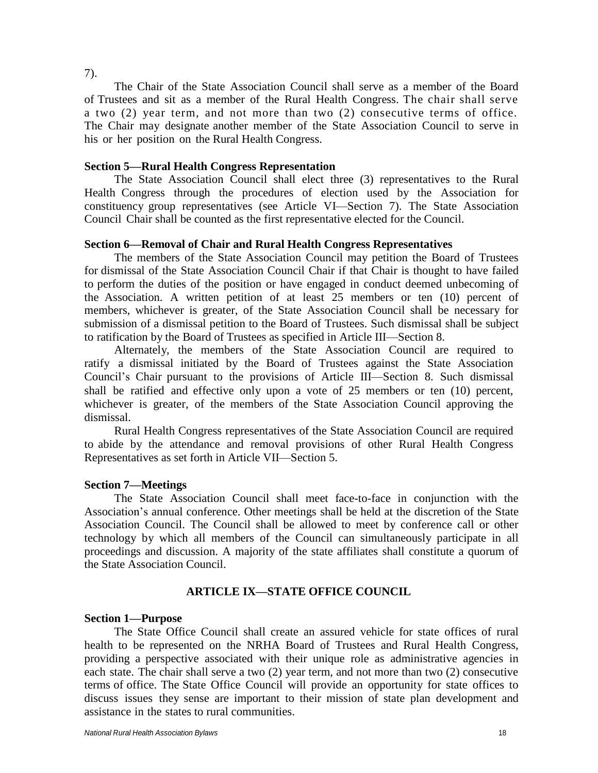7).

The Chair of the State Association Council shall serve as a member of the Board of Trustees and sit as a member of the Rural Health Congress. The chair shall serve a two (2) year term, and not more than two (2) consecutive terms of office. The Chair may designate another member of the State Association Council to serve in his or her position on the Rural Health Congress.

### <span id="page-17-0"></span>**Section 5—Rural Health Congress Representation**

The State Association Council shall elect three (3) representatives to the Rural Health Congress through the procedures of election used by the Association for constituency group representatives (see Article VI—Section 7). The State Association Council Chair shall be counted as the first representative elected for the Council.

### **Section 6—Removal of Chair and Rural Health Congress Representatives**

The members of the State Association Council may petition the Board of Trustees for dismissal of the State Association Council Chair if that Chair is thought to have failed to perform the duties of the position or have engaged in conduct deemed unbecoming of the Association. A written petition of at least 25 members or ten (10) percent of members, whichever is greater, of the State Association Council shall be necessary for submission of a dismissal petition to the Board of Trustees. Such dismissal shall be subject to ratification by the Board of Trustees as specified in Article III—Section 8.

Alternately, the members of the State Association Council are required to ratify a dismissal initiated by the Board of Trustees against the State Association Council's Chair pursuant to the provisions of Article III—Section 8. Such dismissal shall be ratified and effective only upon a vote of 25 members or ten (10) percent, whichever is greater, of the members of the State Association Council approving the dismissal.

Rural Health Congress representatives of the State Association Council are required to abide by the attendance and removal provisions of other Rural Health Congress Representatives as set forth in Article VII—Section 5.

#### <span id="page-17-1"></span>**Section 7—Meetings**

The State Association Council shall meet face-to-face in conjunction with the Association's annual conference. Other meetings shall be held at the discretion of the State Association Council. The Council shall be allowed to meet by conference call or other technology by which all members of the Council can simultaneously participate in all proceedings and discussion. A majority of the state affiliates shall constitute a quorum of the State Association Council.

## **ARTICLE IX—STATE OFFICE COUNCIL**

#### <span id="page-17-3"></span><span id="page-17-2"></span>**Section 1—Purpose**

The State Office Council shall create an assured vehicle for state offices of rural health to be represented on the NRHA Board of Trustees and Rural Health Congress, providing a perspective associated with their unique role as administrative agencies in each state. The chair shall serve a two (2) year term, and not more than two (2) consecutive terms of office. The State Office Council will provide an opportunity for state offices to discuss issues they sense are important to their mission of state plan development and assistance in the states to rural communities.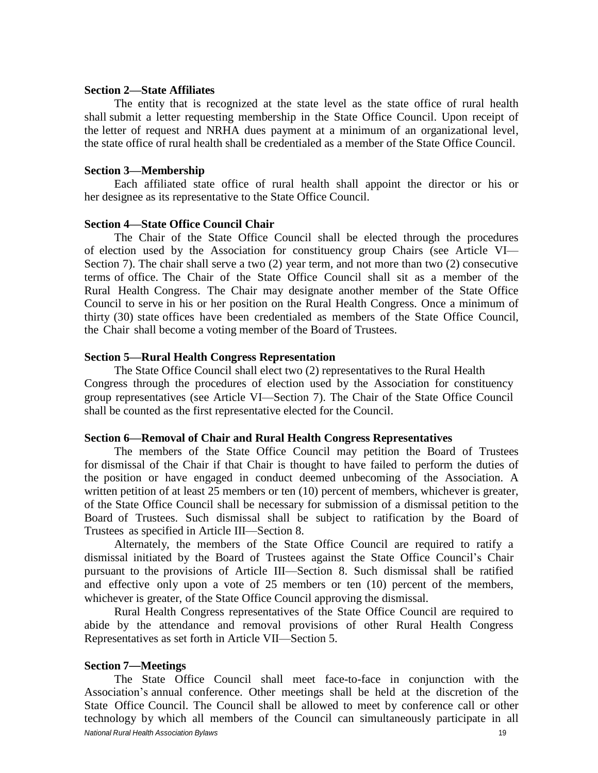#### <span id="page-18-0"></span>**Section 2—State Affiliates**

The entity that is recognized at the state level as the state office of rural health shall submit a letter requesting membership in the State Office Council. Upon receipt of the letter of request and NRHA dues payment at a minimum of an organizational level, the state office of rural health shall be credentialed as a member of the State Office Council.

#### <span id="page-18-1"></span>**Section 3—Membership**

Each affiliated state office of rural health shall appoint the director or his or her designee as its representative to the State Office Council.

#### <span id="page-18-2"></span>**Section 4—State Office Council Chair**

The Chair of the State Office Council shall be elected through the procedures of election used by the Association for constituency group Chairs (see Article VI— Section 7). The chair shall serve a two (2) year term, and not more than two (2) consecutive terms of office. The Chair of the State Office Council shall sit as a member of the Rural Health Congress. The Chair may designate another member of the State Office Council to serve in his or her position on the Rural Health Congress. Once a minimum of thirty (30) state offices have been credentialed as members of the State Office Council, the Chair shall become a voting member of the Board of Trustees.

#### <span id="page-18-3"></span>**Section 5—Rural Health Congress Representation**

The State Office Council shall elect two (2) representatives to the Rural Health Congress through the procedures of election used by the Association for constituency group representatives (see Article VI—Section 7). The Chair of the State Office Council shall be counted as the first representative elected for the Council.

#### **Section 6—Removal of Chair and Rural Health Congress Representatives**

The members of the State Office Council may petition the Board of Trustees for dismissal of the Chair if that Chair is thought to have failed to perform the duties of the position or have engaged in conduct deemed unbecoming of the Association. A written petition of at least 25 members or ten (10) percent of members, whichever is greater, of the State Office Council shall be necessary for submission of a dismissal petition to the Board of Trustees. Such dismissal shall be subject to ratification by the Board of Trustees as specified in Article III—Section 8.

Alternately, the members of the State Office Council are required to ratify a dismissal initiated by the Board of Trustees against the State Office Council's Chair pursuant to the provisions of Article III—Section 8. Such dismissal shall be ratified and effective only upon a vote of 25 members or ten (10) percent of the members, whichever is greater, of the State Office Council approving the dismissal.

Rural Health Congress representatives of the State Office Council are required to abide by the attendance and removal provisions of other Rural Health Congress Representatives as set forth in Article VII—Section 5.

#### <span id="page-18-4"></span>**Section 7**—**Meetings**

*National Rural Health Association Bylaws* 19 The State Office Council shall meet face-to-face in conjunction with the Association's annual conference. Other meetings shall be held at the discretion of the State Office Council. The Council shall be allowed to meet by conference call or other technology by which all members of the Council can simultaneously participate in all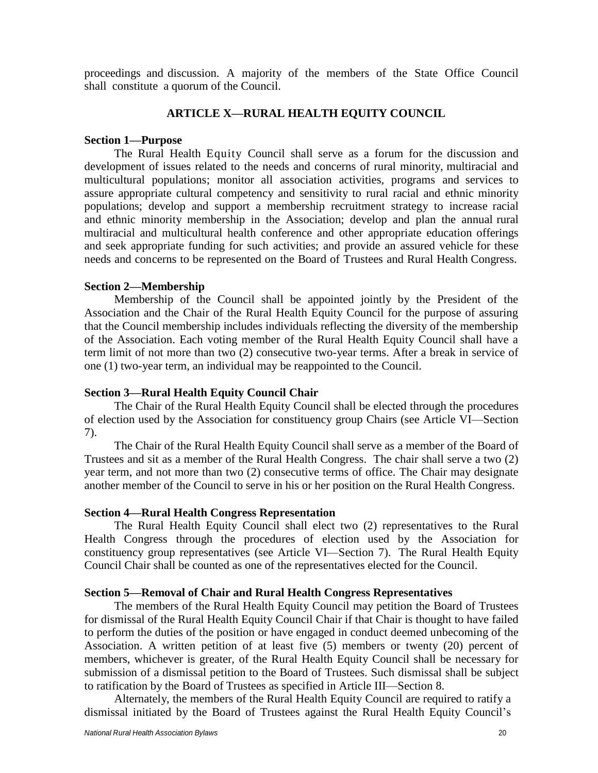proceedings and discussion. A majority of the members of the State Office Council shall constitute a quorum of the Council.

#### **ARTICLE X—RURAL HEALTH EQUITY COUNCIL**

#### <span id="page-19-0"></span>**Section 1—Purpose**

The Rural Health Equity Council shall serve as a forum for the discussion and development of issues related to the needs and concerns of rural minority, multiracial and multicultural populations; monitor all association activities, programs and services to assure appropriate cultural competency and sensitivity to rural racial and ethnic minority populations; develop and support a membership recruitment strategy to increase racial and ethnic minority membership in the Association; develop and plan the annual rural multiracial and multicultural health conference and other appropriate education offerings and seek appropriate funding for such activities; and provide an assured vehicle for these needs and concerns to be represented on the Board of Trustees and Rural Health Congress.

#### <span id="page-19-1"></span>**Section 2—Membership**

Membership of the Council shall be appointed jointly by the President of the Association and the Chair of the Rural Health Equity Council for the purpose of assuring that the Council membership includes individuals reflecting the diversity of the membership of the Association. Each voting member of the Rural Health Equity Council shall have a term limit of not more than two (2) consecutive two-year terms. After a break in service of one (1) two-year term, an individual may be reappointed to the Council.

#### **Section 3—Rural Health Equity Council Chair**

The Chair of the Rural Health Equity Council shall be elected through the procedures of election used by the Association for constituency group Chairs (see Article VI—Section 7).

The Chair of the Rural Health Equity Council shall serve as a member of the Board of Trustees and sit as a member of the Rural Health Congress. The chair shall serve a two (2) year term, and not more than two (2) consecutive terms of office. The Chair may designate another member of the Council to serve in his or her position on the Rural Health Congress.

#### <span id="page-19-2"></span>**Section 4—Rural Health Congress Representation**

The Rural Health Equity Council shall elect two (2) representatives to the Rural Health Congress through the procedures of election used by the Association for constituency group representatives (see Article VI—Section 7). The Rural Health Equity Council Chair shall be counted as one of the representatives elected for the Council.

#### <span id="page-19-3"></span>**Section 5—Removal of Chair and Rural Health Congress Representatives**

The members of the Rural Health Equity Council may petition the Board of Trustees for dismissal of the Rural Health Equity Council Chair if that Chair is thought to have failed to perform the duties of the position or have engaged in conduct deemed unbecoming of the Association. A written petition of at least five (5) members or twenty (20) percent of members, whichever is greater, of the Rural Health Equity Council shall be necessary for submission of a dismissal petition to the Board of Trustees. Such dismissal shall be subject to ratification by the Board of Trustees as specified in Article III—Section 8.

Alternately, the members of the Rural Health Equity Council are required to ratify a dismissal initiated by the Board of Trustees against the Rural Health Equity Council's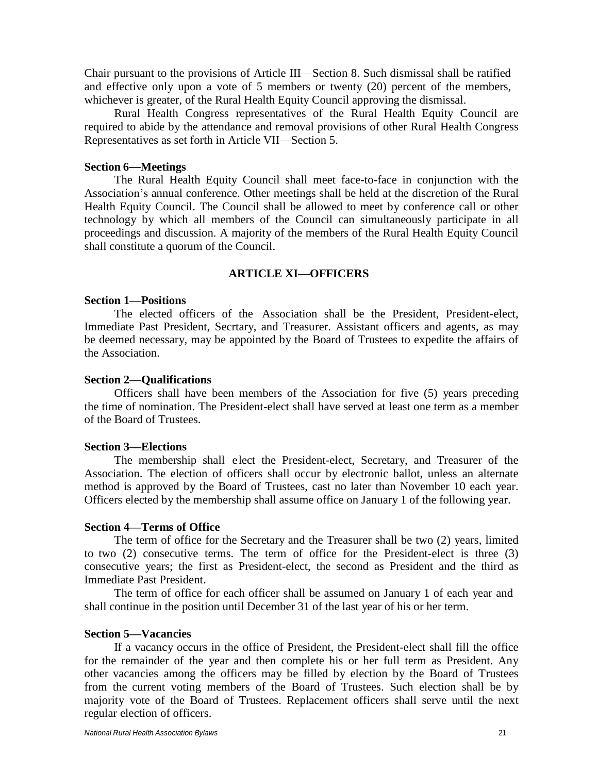Chair pursuant to the provisions of Article III—Section 8. Such dismissal shall be ratified and effective only upon a vote of 5 members or twenty (20) percent of the members, whichever is greater, of the Rural Health Equity Council approving the dismissal.

Rural Health Congress representatives of the Rural Health Equity Council are required to abide by the attendance and removal provisions of other Rural Health Congress Representatives as set forth in Article VII—Section 5.

#### <span id="page-20-0"></span>**Section 6**—**Meetings**

The Rural Health Equity Council shall meet face-to-face in conjunction with the Association's annual conference. Other meetings shall be held at the discretion of the Rural Health Equity Council. The Council shall be allowed to meet by conference call or other technology by which all members of the Council can simultaneously participate in all proceedings and discussion. A majority of the members of the Rural Health Equity Council shall constitute a quorum of the Council.

## **ARTICLE XI—OFFICERS**

## <span id="page-20-2"></span><span id="page-20-1"></span>**Section 1—Positions**

The elected officers of the Association shall be the President, President-elect, Immediate Past President, Secrtary, and Treasurer. Assistant officers and agents, as may be deemed necessary, may be appointed by the Board of Trustees to expedite the affairs of the Association.

#### <span id="page-20-3"></span>**Section 2—Qualifications**

Officers shall have been members of the Association for five (5) years preceding the time of nomination. The President-elect shall have served at least one term as a member of the Board of Trustees.

#### <span id="page-20-4"></span>**Section 3—Elections**

The membership shall elect the President-elect, Secretary, and Treasurer of the Association. The election of officers shall occur by electronic ballot, unless an alternate method is approved by the Board of Trustees, cast no later than November 10 each year. Officers elected by the membership shall assume office on January 1 of the following year.

#### <span id="page-20-5"></span>**Section 4—Terms of Office**

The term of office for the Secretary and the Treasurer shall be two (2) years, limited to two (2) consecutive terms. The term of office for the President-elect is three (3) consecutive years; the first as President-elect, the second as President and the third as Immediate Past President.

The term of office for each officer shall be assumed on January 1 of each year and shall continue in the position until December 31 of the last year of his or her term.

## <span id="page-20-6"></span>**Section 5—Vacancies**

If a vacancy occurs in the office of President, the President-elect shall fill the office for the remainder of the year and then complete his or her full term as President. Any other vacancies among the officers may be filled by election by the Board of Trustees from the current voting members of the Board of Trustees. Such election shall be by majority vote of the Board of Trustees. Replacement officers shall serve until the next regular election of officers.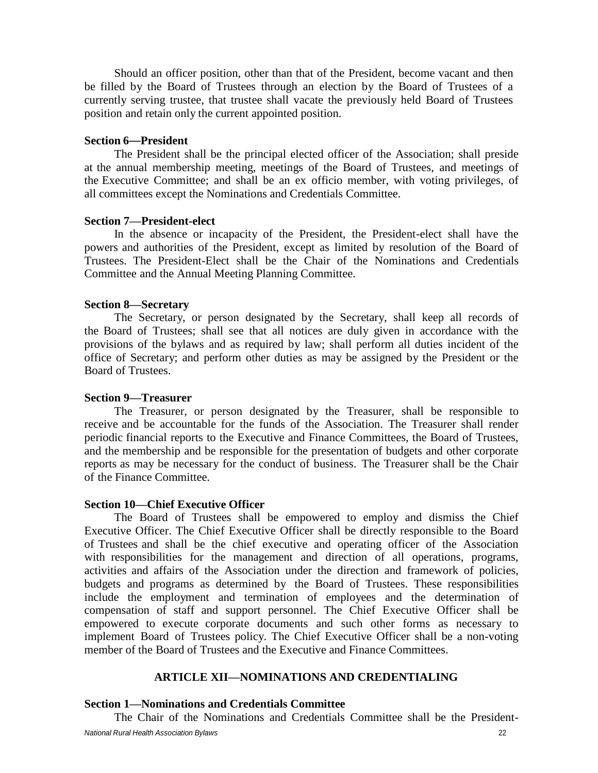Should an officer position, other than that of the President, become vacant and then be filled by the Board of Trustees through an election by the Board of Trustees of a currently serving trustee, that trustee shall vacate the previously held Board of Trustees position and retain only the current appointed position.

#### <span id="page-21-0"></span>**Section 6**—**President**

The President shall be the principal elected officer of the Association; shall preside at the annual membership meeting, meetings of the Board of Trustees, and meetings of the Executive Committee; and shall be an ex officio member, with voting privileges, of all committees except the Nominations and Credentials Committee.

#### <span id="page-21-1"></span>**Section 7—President-elect**

In the absence or incapacity of the President, the President-elect shall have the powers and authorities of the President, except as limited by resolution of the Board of Trustees. The President-Elect shall be the Chair of the Nominations and Credentials Committee and the Annual Meeting Planning Committee.

#### <span id="page-21-2"></span>**Section 8—Secretary**

The Secretary, or person designated by the Secretary, shall keep all records of the Board of Trustees; shall see that all notices are duly given in accordance with the provisions of the bylaws and as required by law; shall perform all duties incident of the office of Secretary; and perform other duties as may be assigned by the President or the Board of Trustees.

#### <span id="page-21-3"></span>**Section 9—Treasurer**

The Treasurer, or person designated by the Treasurer, shall be responsible to receive and be accountable for the funds of the Association. The Treasurer shall render periodic financial reports to the Executive and Finance Committees, the Board of Trustees, and the membership and be responsible for the presentation of budgets and other corporate reports as may be necessary for the conduct of business. The Treasurer shall be the Chair of the Finance Committee.

#### <span id="page-21-4"></span>**Section 10—Chief Executive Officer**

The Board of Trustees shall be empowered to employ and dismiss the Chief Executive Officer. The Chief Executive Officer shall be directly responsible to the Board of Trustees and shall be the chief executive and operating officer of the Association with responsibilities for the management and direction of all operations, programs, activities and affairs of the Association under the direction and framework of policies, budgets and programs as determined by the Board of Trustees. These responsibilities include the employment and termination of employees and the determination of compensation of staff and support personnel. The Chief Executive Officer shall be empowered to execute corporate documents and such other forms as necessary to implement Board of Trustees policy. The Chief Executive Officer shall be a non-voting member of the Board of Trustees and the Executive and Finance Committees.

## **ARTICLE XII—NOMINATIONS AND CREDENTIALING**

#### <span id="page-21-6"></span><span id="page-21-5"></span>**Section 1—Nominations and Credentials Committee**

*National Rural Health Association Bylaws* 22 The Chair of the Nominations and Credentials Committee shall be the President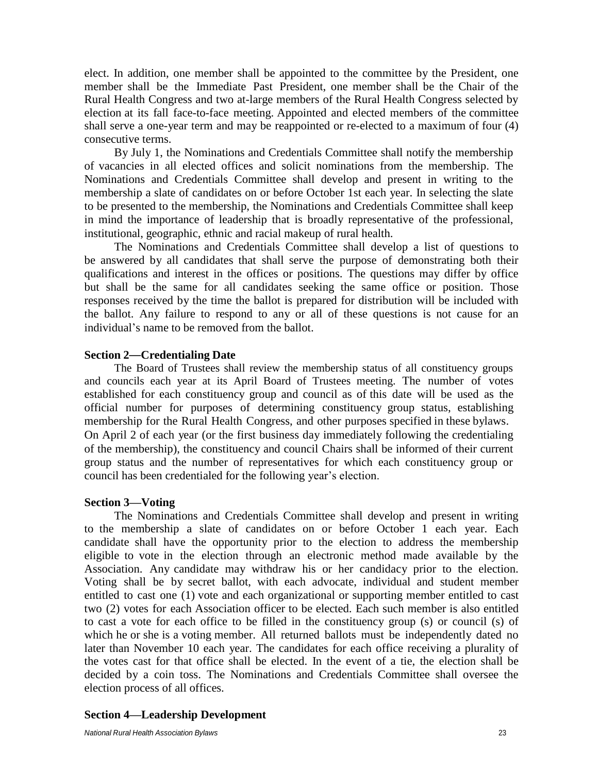elect. In addition, one member shall be appointed to the committee by the President, one member shall be the Immediate Past President, one member shall be the Chair of the Rural Health Congress and two at-large members of the Rural Health Congress selected by election at its fall face-to-face meeting. Appointed and elected members of the committee shall serve a one-year term and may be reappointed or re-elected to a maximum of four (4) consecutive terms.

By July 1, the Nominations and Credentials Committee shall notify the membership of vacancies in all elected offices and solicit nominations from the membership. The Nominations and Credentials Committee shall develop and present in writing to the membership a slate of candidates on or before October 1st each year. In selecting the slate to be presented to the membership, the Nominations and Credentials Committee shall keep in mind the importance of leadership that is broadly representative of the professional, institutional, geographic, ethnic and racial makeup of rural health.

The Nominations and Credentials Committee shall develop a list of questions to be answered by all candidates that shall serve the purpose of demonstrating both their qualifications and interest in the offices or positions. The questions may differ by office but shall be the same for all candidates seeking the same office or position. Those responses received by the time the ballot is prepared for distribution will be included with the ballot. Any failure to respond to any or all of these questions is not cause for an individual's name to be removed from the ballot.

#### <span id="page-22-0"></span>**Section 2**—**Credentialing Date**

The Board of Trustees shall review the membership status of all constituency groups and councils each year at its April Board of Trustees meeting. The number of votes established for each constituency group and council as of this date will be used as the official number for purposes of determining constituency group status, establishing membership for the Rural Health Congress, and other purposes specified in these bylaws. On April 2 of each year (or the first business day immediately following the credentialing of the membership), the constituency and council Chairs shall be informed of their current group status and the number of representatives for which each constituency group or council has been credentialed for the following year's election.

#### <span id="page-22-1"></span>**Section 3—Voting**

The Nominations and Credentials Committee shall develop and present in writing to the membership a slate of candidates on or before October 1 each year. Each candidate shall have the opportunity prior to the election to address the membership eligible to vote in the election through an electronic method made available by the Association. Any candidate may withdraw his or her candidacy prior to the election. Voting shall be by secret ballot, with each advocate, individual and student member entitled to cast one (1) vote and each organizational or supporting member entitled to cast two (2) votes for each Association officer to be elected. Each such member is also entitled to cast a vote for each office to be filled in the constituency group (s) or council (s) of which he or she is a voting member. All returned ballots must be independently dated no later than November 10 each year. The candidates for each office receiving a plurality of the votes cast for that office shall be elected. In the event of a tie, the election shall be decided by a coin toss. The Nominations and Credentials Committee shall oversee the election process of all offices.

### <span id="page-22-2"></span>**Section 4—Leadership Development**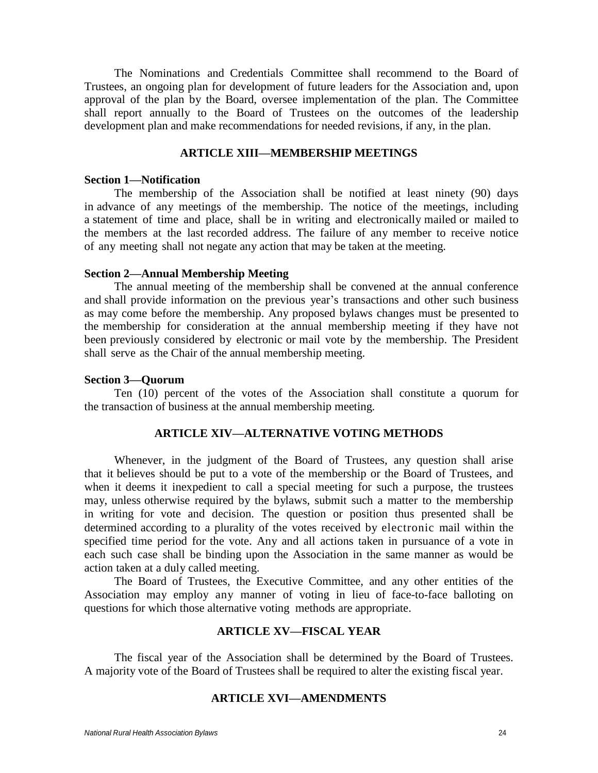The Nominations and Credentials Committee shall recommend to the Board of Trustees, an ongoing plan for development of future leaders for the Association and, upon approval of the plan by the Board, oversee implementation of the plan. The Committee shall report annually to the Board of Trustees on the outcomes of the leadership development plan and make recommendations for needed revisions, if any, in the plan.

### **ARTICLE XIII—MEMBERSHIP MEETINGS**

#### <span id="page-23-1"></span><span id="page-23-0"></span>**Section 1—Notification**

The membership of the Association shall be notified at least ninety (90) days in advance of any meetings of the membership. The notice of the meetings, including a statement of time and place, shall be in writing and electronically mailed or mailed to the members at the last recorded address. The failure of any member to receive notice of any meeting shall not negate any action that may be taken at the meeting.

#### <span id="page-23-2"></span>**Section 2—Annual Membership Meeting**

The annual meeting of the membership shall be convened at the annual conference and shall provide information on the previous year's transactions and other such business as may come before the membership. Any proposed bylaws changes must be presented to the membership for consideration at the annual membership meeting if they have not been previously considered by electronic or mail vote by the membership. The President shall serve as the Chair of the annual membership meeting.

#### <span id="page-23-3"></span>**Section 3—Quorum**

Ten (10) percent of the votes of the Association shall constitute a quorum for the transaction of business at the annual membership meeting.

## **ARTICLE XIV—ALTERNATIVE VOTING METHODS**

<span id="page-23-4"></span>Whenever, in the judgment of the Board of Trustees, any question shall arise that it believes should be put to a vote of the membership or the Board of Trustees, and when it deems it inexpedient to call a special meeting for such a purpose, the trustees may, unless otherwise required by the bylaws, submit such a matter to the membership in writing for vote and decision. The question or position thus presented shall be determined according to a plurality of the votes received by electronic mail within the specified time period for the vote. Any and all actions taken in pursuance of a vote in each such case shall be binding upon the Association in the same manner as would be action taken at a duly called meeting.

The Board of Trustees, the Executive Committee, and any other entities of the Association may employ any manner of voting in lieu of face-to-face balloting on questions for which those alternative voting methods are appropriate.

## **ARTICLE XV—FISCAL YEAR**

<span id="page-23-6"></span><span id="page-23-5"></span>The fiscal year of the Association shall be determined by the Board of Trustees. A majority vote of the Board of Trustees shall be required to alter the existing fiscal year.

## **ARTICLE XVI—AMENDMENTS**